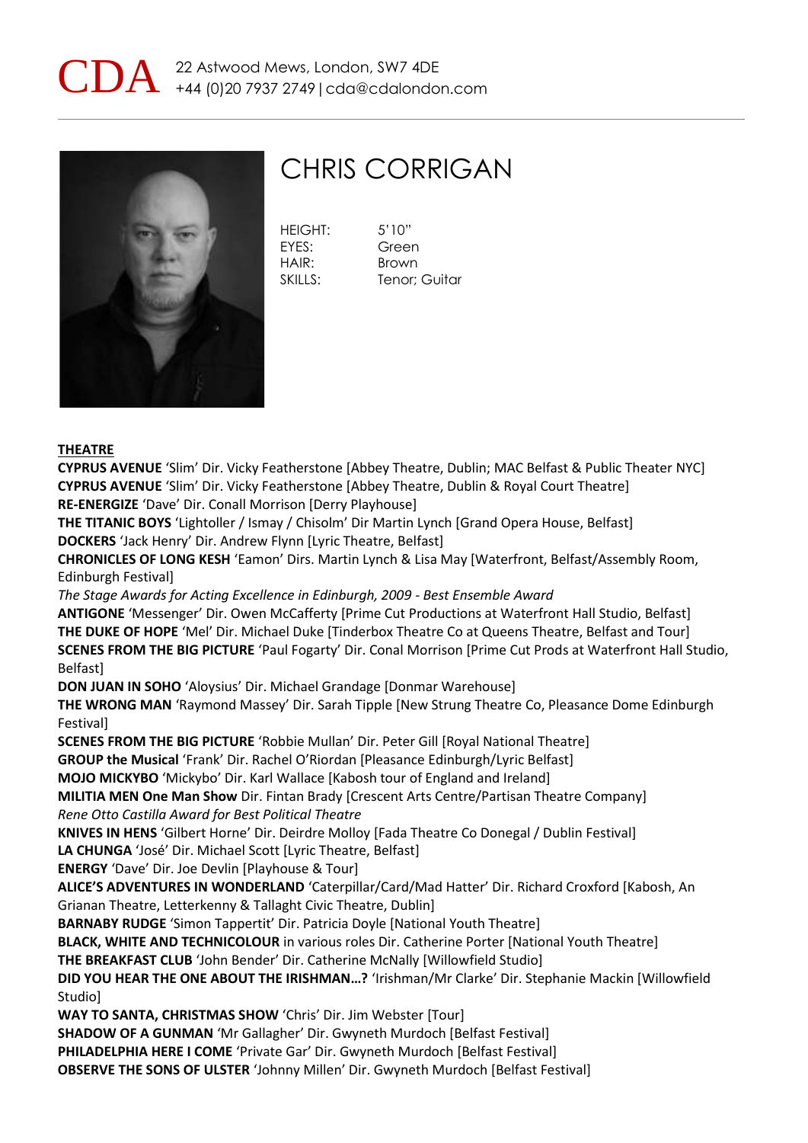



## CHRIS CORRIGAN

| <b>HEIGHT:</b> | 5'10''        |
|----------------|---------------|
| <b>FYFS:</b>   | Green         |
| HAIR:          | Brown         |
| SKILLS:        | Tenor; Guitar |

## **THEATRE**

**CYPRUS AVENUE** 'Slim' Dir. Vicky Featherstone [Abbey Theatre, Dublin; MAC Belfast & Public Theater NYC] **CYPRUS AVENUE** 'Slim' Dir. Vicky Featherstone [Abbey Theatre, Dublin & Royal Court Theatre] **RE-ENERGIZE** 'Dave' Dir. Conall Morrison [Derry Playhouse]

**THE TITANIC BOYS** 'Lightoller / Ismay / Chisolm' Dir Martin Lynch [Grand Opera House, Belfast] **DOCKERS** 'Jack Henry' Dir. Andrew Flynn [Lyric Theatre, Belfast]

**CHRONICLES OF LONG KESH** 'Eamon' Dirs. Martin Lynch & Lisa May [Waterfront, Belfast/Assembly Room, Edinburgh Festival]

*The Stage Awards for Acting Excellence in Edinburgh, 2009 - Best Ensemble Award*

**ANTIGONE** 'Messenger' Dir. Owen McCafferty [Prime Cut Productions at Waterfront Hall Studio, Belfast] **THE DUKE OF HOPE** 'Mel' Dir. Michael Duke [Tinderbox Theatre Co at Queens Theatre, Belfast and Tour] **SCENES FROM THE BIG PICTURE** 'Paul Fogarty' Dir. Conal Morrison [Prime Cut Prods at Waterfront Hall Studio, Belfast]

**DON JUAN IN SOHO** 'Aloysius' Dir. Michael Grandage [Donmar Warehouse]

**THE WRONG MAN** 'Raymond Massey' Dir. Sarah Tipple [New Strung Theatre Co, Pleasance Dome Edinburgh **Festivall** 

**SCENES FROM THE BIG PICTURE** 'Robbie Mullan' Dir. Peter Gill [Royal National Theatre]

**GROUP the Musical** 'Frank' Dir. Rachel O'Riordan [Pleasance Edinburgh/Lyric Belfast]

**MOJO MICKYBO** 'Mickybo' Dir. Karl Wallace [Kabosh tour of England and Ireland]

**MILITIA MEN One Man Show** Dir. Fintan Brady [Crescent Arts Centre/Partisan Theatre Company] *Rene Otto Castilla Award for Best Political Theatre*

**KNIVES IN HENS** 'Gilbert Horne' Dir. Deirdre Molloy [Fada Theatre Co Donegal / Dublin Festival] **LA CHUNGA** 'José' Dir. Michael Scott [Lyric Theatre, Belfast]

**ENERGY** 'Dave' Dir. Joe Devlin [Playhouse & Tour]

**ALICE'S ADVENTURES IN WONDERLAND** 'Caterpillar/Card/Mad Hatter' Dir. Richard Croxford [Kabosh, An Grianan Theatre, Letterkenny & Tallaght Civic Theatre, Dublin]

**BARNABY RUDGE** 'Simon Tappertit' Dir. Patricia Doyle [National Youth Theatre]

**BLACK, WHITE AND TECHNICOLOUR** in various roles Dir. Catherine Porter [National Youth Theatre]

**THE BREAKFAST CLUB** 'John Bender' Dir. Catherine McNally [Willowfield Studio]

**DID YOU HEAR THE ONE ABOUT THE IRISHMAN…?** 'Irishman/Mr Clarke' Dir. Stephanie Mackin [Willowfield Studio]

**WAY TO SANTA, CHRISTMAS SHOW** 'Chris' Dir. Jim Webster [Tour]

**SHADOW OF A GUNMAN** 'Mr Gallagher' Dir. Gwyneth Murdoch [Belfast Festival]

**PHILADELPHIA HERE I COME** 'Private Gar' Dir. Gwyneth Murdoch [Belfast Festival]

**OBSERVE THE SONS OF ULSTER** 'Johnny Millen' Dir. Gwyneth Murdoch [Belfast Festival]